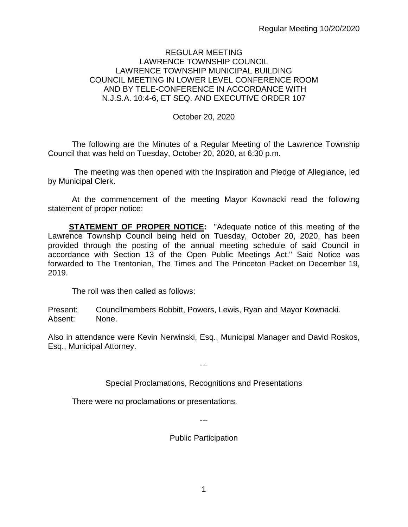## REGULAR MEETING LAWRENCE TOWNSHIP COUNCIL LAWRENCE TOWNSHIP MUNICIPAL BUILDING COUNCIL MEETING IN LOWER LEVEL CONFERENCE ROOM AND BY TELE-CONFERENCE IN ACCORDANCE WITH N.J.S.A. 10:4-6, ET SEQ. AND EXECUTIVE ORDER 107

October 20, 2020

The following are the Minutes of a Regular Meeting of the Lawrence Township Council that was held on Tuesday, October 20, 2020, at 6:30 p.m.

The meeting was then opened with the Inspiration and Pledge of Allegiance, led by Municipal Clerk.

At the commencement of the meeting Mayor Kownacki read the following statement of proper notice:

**STATEMENT OF PROPER NOTICE:** "Adequate notice of this meeting of the Lawrence Township Council being held on Tuesday, October 20, 2020, has been provided through the posting of the annual meeting schedule of said Council in accordance with Section 13 of the Open Public Meetings Act." Said Notice was forwarded to The Trentonian, The Times and The Princeton Packet on December 19, 2019.

The roll was then called as follows:

Present: Councilmembers Bobbitt, Powers, Lewis, Ryan and Mayor Kownacki. Absent: None.

Also in attendance were Kevin Nerwinski, Esq., Municipal Manager and David Roskos, Esq., Municipal Attorney.

---

Special Proclamations, Recognitions and Presentations

There were no proclamations or presentations.

---

Public Participation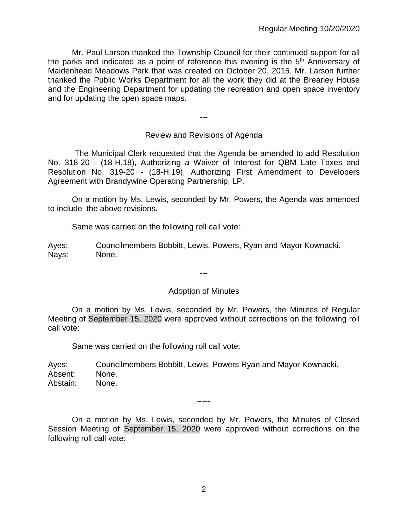Mr. Paul Larson thanked the Township Council for their continued support for all the parks and indicated as a point of reference this evening is the 5<sup>th</sup> Anniversary of Maidenhead Meadows Park that was created on October 20, 2015. Mr. Larson further thanked the Public Works Department for all the work they did at the Brearley House and the Engineering Department for updating the recreation and open space inventory and for updating the open space maps.

Review and Revisions of Agenda

---

 The Municipal Clerk requested that the Agenda be amended to add Resolution No. 318-20 - (18-H.18), Authorizing a Waiver of Interest for QBM Late Taxes and Resolution No. 319-20 - (18-H.19), Authorizing First Amendment to Developers Agreement with Brandywine Operating Partnership, LP.

On a motion by Ms. Lewis, seconded by Mr. Powers, the Agenda was amended to include the above revisions.

Same was carried on the following roll call vote:

Ayes: Councilmembers Bobbitt, Lewis, Powers, Ryan and Mayor Kownacki. Nays: None.

---

#### Adoption of Minutes

On a motion by Ms. Lewis, seconded by Mr. Powers, the Minutes of Regular Meeting of September 15, 2020 were approved without corrections on the following roll call vote:

Same was carried on the following roll call vote:

Ayes: Councilmembers Bobbitt, Lewis, Powers Ryan and Mayor Kownacki. Absent: None. Abstain: None.

On a motion by Ms. Lewis, seconded by Mr. Powers, the Minutes of Closed Session Meeting of September 15, 2020 were approved without corrections on the following roll call vote:

~~~~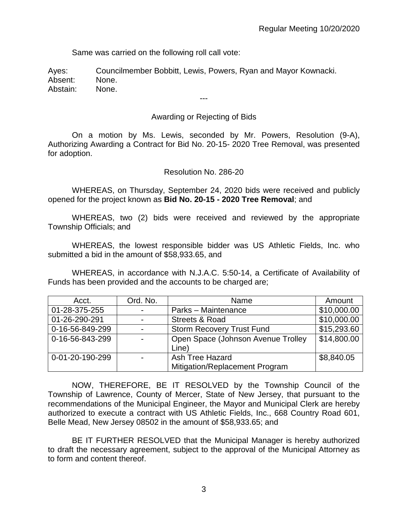Same was carried on the following roll call vote:

Ayes: Councilmember Bobbitt, Lewis, Powers, Ryan and Mayor Kownacki. Absent: None. Abstain: None.

# Awarding or Rejecting of Bids

---

On a motion by Ms. Lewis, seconded by Mr. Powers, Resolution (9-A), Authorizing Awarding a Contract for Bid No. 20-15- 2020 Tree Removal, was presented for adoption.

Resolution No. 286-20

WHEREAS, on Thursday, September 24, 2020 bids were received and publicly opened for the project known as **Bid No. 20-15 - 2020 Tree Removal**; and

WHEREAS, two (2) bids were received and reviewed by the appropriate Township Officials; and

WHEREAS, the lowest responsible bidder was US Athletic Fields, Inc. who submitted a bid in the amount of \$58,933.65, and

WHEREAS, in accordance with N.J.A.C. 5:50-14, a Certificate of Availability of Funds has been provided and the accounts to be charged are;

| Acct.           | Ord. No.                 | Name                               | Amount      |
|-----------------|--------------------------|------------------------------------|-------------|
| 01-28-375-255   | $\blacksquare$           | Parks - Maintenance                | \$10,000.00 |
| 01-26-290-291   | $\blacksquare$           | <b>Streets &amp; Road</b>          | \$10,000.00 |
| 0-16-56-849-299 | $\overline{\phantom{a}}$ | <b>Storm Recovery Trust Fund</b>   | \$15,293.60 |
| 0-16-56-843-299 | $\overline{\phantom{a}}$ | Open Space (Johnson Avenue Trolley | \$14,800.00 |
|                 |                          | Line)                              |             |
| 0-01-20-190-299 | $\blacksquare$           | Ash Tree Hazard                    | \$8,840.05  |
|                 |                          | Mitigation/Replacement Program     |             |

NOW, THEREFORE, BE IT RESOLVED by the Township Council of the Township of Lawrence, County of Mercer, State of New Jersey, that pursuant to the recommendations of the Municipal Engineer, the Mayor and Municipal Clerk are hereby authorized to execute a contract with US Athletic Fields, Inc., 668 Country Road 601, Belle Mead, New Jersey 08502 in the amount of \$58,933.65; and

BE IT FURTHER RESOLVED that the Municipal Manager is hereby authorized to draft the necessary agreement, subject to the approval of the Municipal Attorney as to form and content thereof.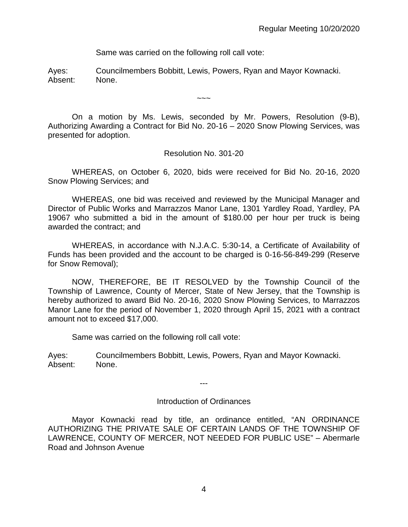Same was carried on the following roll call vote:

Ayes: Councilmembers Bobbitt, Lewis, Powers, Ryan and Mayor Kownacki. Absent: None.

On a motion by Ms. Lewis, seconded by Mr. Powers, Resolution (9-B), Authorizing Awarding a Contract for Bid No. 20-16 – 2020 Snow Plowing Services, was presented for adoption.

 $\sim\sim\sim$ 

Resolution No. 301-20

WHEREAS, on October 6, 2020, bids were received for Bid No. 20-16, 2020 Snow Plowing Services; and

WHEREAS, one bid was received and reviewed by the Municipal Manager and Director of Public Works and Marrazzos Manor Lane, 1301 Yardley Road, Yardley, PA 19067 who submitted a bid in the amount of \$180.00 per hour per truck is being awarded the contract; and

WHEREAS, in accordance with N.J.A.C. 5:30-14, a Certificate of Availability of Funds has been provided and the account to be charged is 0-16-56-849-299 (Reserve for Snow Removal);

NOW, THEREFORE, BE IT RESOLVED by the Township Council of the Township of Lawrence, County of Mercer, State of New Jersey, that the Township is hereby authorized to award Bid No. 20-16, 2020 Snow Plowing Services, to Marrazzos Manor Lane for the period of November 1, 2020 through April 15, 2021 with a contract amount not to exceed \$17,000.

Same was carried on the following roll call vote:

Ayes: Councilmembers Bobbitt, Lewis, Powers, Ryan and Mayor Kownacki. Absent: None.

---

#### Introduction of Ordinances

Mayor Kownacki read by title, an ordinance entitled, "AN ORDINANCE AUTHORIZING THE PRIVATE SALE OF CERTAIN LANDS OF THE TOWNSHIP OF LAWRENCE, COUNTY OF MERCER, NOT NEEDED FOR PUBLIC USE" – Abermarle Road and Johnson Avenue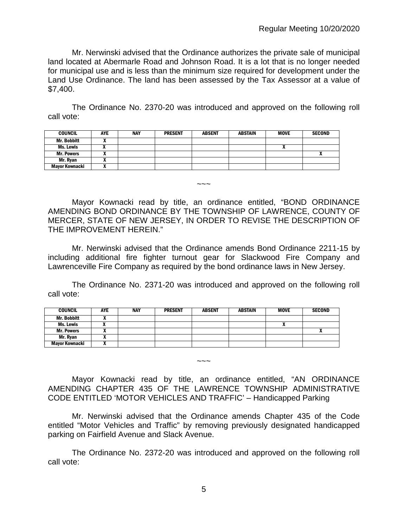Mr. Nerwinski advised that the Ordinance authorizes the private sale of municipal land located at Abermarle Road and Johnson Road. It is a lot that is no longer needed for municipal use and is less than the minimum size required for development under the Land Use Ordinance. The land has been assessed by the Tax Assessor at a value of \$7,400.

The Ordinance No. 2370-20 was introduced and approved on the following roll call vote:

| <b>COUNCIL</b>    | <b>AYE</b> | NAY | <b>PRESENT</b> | <b>ABSENT</b> | <b>ABSTAIN</b> | <b>MOVE</b> | <b>SECOND</b> |
|-------------------|------------|-----|----------------|---------------|----------------|-------------|---------------|
| Mr. Bobbitt       |            |     |                |               |                |             |               |
| Ms. Lewis         |            |     |                |               |                |             |               |
| <b>Mr. Powers</b> |            |     |                |               |                |             |               |
| Mr. Ryan          |            |     |                |               |                |             |               |
| Mayor Kownacki    | ,,,        |     |                |               |                |             |               |

Mayor Kownacki read by title, an ordinance entitled, "BOND ORDINANCE AMENDING BOND ORDINANCE BY THE TOWNSHIP OF LAWRENCE, COUNTY OF MERCER, STATE OF NEW JERSEY, IN ORDER TO REVISE THE DESCRIPTION OF THE IMPROVEMENT HEREIN."

 $\sim\sim\sim$ 

Mr. Nerwinski advised that the Ordinance amends Bond Ordinance 2211-15 by including additional fire fighter turnout gear for Slackwood Fire Company and Lawrenceville Fire Company as required by the bond ordinance laws in New Jersey.

The Ordinance No. 2371-20 was introduced and approved on the following roll call vote:

| <b>COUNCIL</b>        | <b>AYE</b> | NAY | <b>PRESENT</b> | <b>ABSENT</b> | <b>ABSTAIN</b> | <b>MOVE</b> | <b>SECOND</b> |
|-----------------------|------------|-----|----------------|---------------|----------------|-------------|---------------|
| <b>Mr. Bobbitt</b>    | ,,         |     |                |               |                |             |               |
| Ms. Lewis             |            |     |                |               |                |             |               |
| <b>Mr. Powers</b>     |            |     |                |               |                |             |               |
| Mr. Ryan              |            |     |                |               |                |             |               |
| <b>Mayor Kownacki</b> |            |     |                |               |                |             |               |

Mayor Kownacki read by title, an ordinance entitled, "AN ORDINANCE AMENDING CHAPTER 435 OF THE LAWRENCE TOWNSHIP ADMINISTRATIVE CODE ENTITLED 'MOTOR VEHICLES AND TRAFFIC' – Handicapped Parking

 $\sim\sim\sim$ 

Mr. Nerwinski advised that the Ordinance amends Chapter 435 of the Code entitled "Motor Vehicles and Traffic" by removing previously designated handicapped parking on Fairfield Avenue and Slack Avenue.

The Ordinance No. 2372-20 was introduced and approved on the following roll call vote: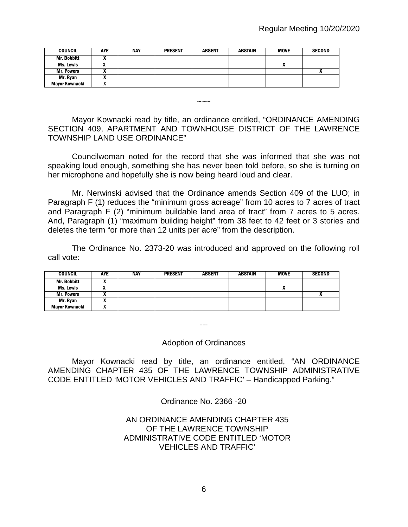| <b>COUNCIL</b>        | <b>AYE</b> | <b>NAY</b> | <b>PRESENT</b> | <b>ABSENT</b> | ABSTAIN | MOVE                       | <b>SECOND</b> |
|-----------------------|------------|------------|----------------|---------------|---------|----------------------------|---------------|
| <b>Mr. Bobbitt</b>    |            |            |                |               |         |                            |               |
| Ms. Lewis             | ,,         |            |                |               |         | $\boldsymbol{\mathcal{L}}$ |               |
| <b>Mr. Powers</b>     |            |            |                |               |         |                            |               |
| Mr. Rvan              |            |            |                |               |         |                            |               |
| <b>Mayor Kownacki</b> |            |            |                |               |         |                            |               |

 $\sim\sim\sim$ 

Mayor Kownacki read by title, an ordinance entitled, "ORDINANCE AMENDING SECTION 409, APARTMENT AND TOWNHOUSE DISTRICT OF THE LAWRENCE TOWNSHIP LAND USE ORDINANCE"

Councilwoman noted for the record that she was informed that she was not speaking loud enough, something she has never been told before, so she is turning on her microphone and hopefully she is now being heard loud and clear.

Mr. Nerwinski advised that the Ordinance amends Section 409 of the LUO; in Paragraph F (1) reduces the "minimum gross acreage" from 10 acres to 7 acres of tract and Paragraph F (2) "minimum buildable land area of tract" from 7 acres to 5 acres. And, Paragraph (1) "maximum building height" from 38 feet to 42 feet or 3 stories and deletes the term "or more than 12 units per acre" from the description.

The Ordinance No. 2373-20 was introduced and approved on the following roll call vote:

| <b>COUNCIL</b>        | <b>AYE</b> | <b>NAY</b> | <b>PRESENT</b> | <b>ABSENT</b> | <b>ABSTAIN</b> | <b>MOVE</b> | <b>SECOND</b> |
|-----------------------|------------|------------|----------------|---------------|----------------|-------------|---------------|
| <b>Mr. Bobbitt</b>    |            |            |                |               |                |             |               |
| Ms. Lewis             |            |            |                |               |                |             |               |
| <b>Mr. Powers</b>     |            |            |                |               |                |             |               |
| Mr. Ryan              | ,,         |            |                |               |                |             |               |
| <b>Mayor Kownacki</b> |            |            |                |               |                |             |               |

---

Adoption of Ordinances

Mayor Kownacki read by title, an ordinance entitled, "AN ORDINANCE AMENDING CHAPTER 435 OF THE LAWRENCE TOWNSHIP ADMINISTRATIVE CODE ENTITLED 'MOTOR VEHICLES AND TRAFFIC' – Handicapped Parking."

Ordinance No. 2366 -20

## AN ORDINANCE AMENDING CHAPTER 435 OF THE LAWRENCE TOWNSHIP ADMINISTRATIVE CODE ENTITLED 'MOTOR VEHICLES AND TRAFFIC'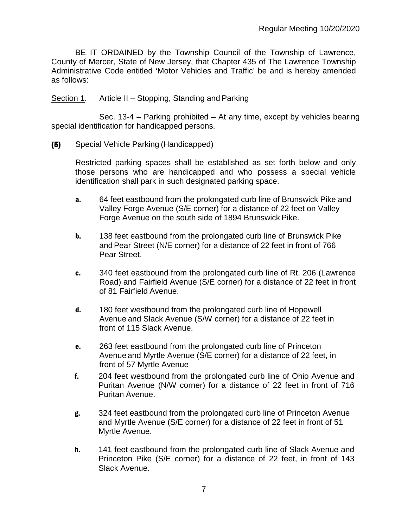BE IT ORDAINED by the Township Council of the Township of Lawrence, County of Mercer, State of New Jersey, that Chapter 435 of The Lawrence Township Administrative Code entitled 'Motor Vehicles and Traffic' be and is hereby amended as follows:

Section 1. Article II – Stopping, Standing and Parking

Sec. 13-4 – Parking prohibited – At any time, except by vehicles bearing special identification for handicapped persons.

(5) Special Vehicle Parking (Handicapped)

Restricted parking spaces shall be established as set forth below and only those persons who are handicapped and who possess a special vehicle identification shall park in such designated parking space.

- a. 64 feet eastbound from the prolongated curb line of Brunswick Pike and Valley Forge Avenue (S/E corner) for a distance of 22 feet on Valley Forge Avenue on the south side of 1894 Brunswick Pike.
- **b.** 138 feet eastbound from the prolongated curb line of Brunswick Pike andPear Street (N/E corner) for a distance of 22 feet in front of 766 Pear Street.
- c. 340 feet eastbound from the prolongated curb line of Rt. 206 (Lawrence Road) and Fairfield Avenue (S/E corner) for a distance of 22 feet in front of 81 Fairfield Avenue.
- d. 180 feet westbound from the prolongated curb line of Hopewell Avenue and Slack Avenue (S/W corner) for a distance of 22 feet in front of 115 Slack Avenue.
- e. 263 feet eastbound from the prolongated curb line of Princeton Avenue and Myrtle Avenue (S/E corner) for a distance of 22 feet, in front of 57 Myrtle Avenue
- f. 204 feet westbound from the prolongated curb line of Ohio Avenue and Puritan Avenue (N/W corner) for a distance of 22 feet in front of 716 Puritan Avenue.
- g. 324 feet eastbound from the prolongated curb line of Princeton Avenue and Myrtle Avenue (S/E corner) for a distance of 22 feet in front of 51 Myrtle Avenue.
- h. 141 feet eastbound from the prolongated curb line of Slack Avenue and Princeton Pike (S/E corner) for a distance of 22 feet, in front of 143 Slack Avenue.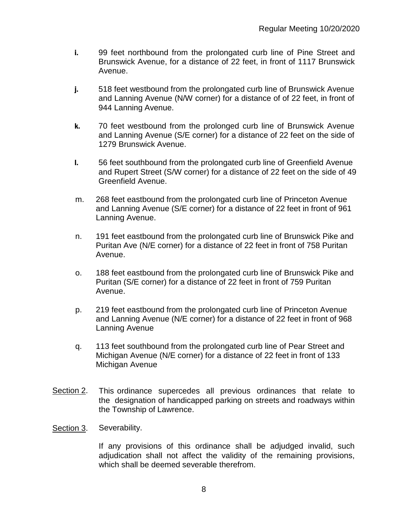- i. 99 feet northbound from the prolongated curb line of Pine Street and Brunswick Avenue, for a distance of 22 feet, in front of 1117 Brunswick Avenue.
- j. 518 feet westbound from the prolongated curb line of Brunswick Avenue and Lanning Avenue (N/W corner) for a distance of of 22 feet, in front of 944 Lanning Avenue.
- k. 70 feet westbound from the prolonged curb line of Brunswick Avenue and Lanning Avenue (S/E corner) for a distance of 22 feet on the side of 1279 Brunswick Avenue.
- l. 56 feet southbound from the prolongated curb line of Greenfield Avenue and Rupert Street (S/W corner) for a distance of 22 feet on the side of 49 Greenfield Avenue.
- m. 268 feet eastbound from the prolongated curb line of Princeton Avenue and Lanning Avenue (S/E corner) for a distance of 22 feet in front of 961 Lanning Avenue.
- n. 191 feet eastbound from the prolongated curb line of Brunswick Pike and Puritan Ave (N/E corner) for a distance of 22 feet in front of 758 Puritan Avenue.
- o. 188 feet eastbound from the prolongated curb line of Brunswick Pike and Puritan (S/E corner) for a distance of 22 feet in front of 759 Puritan Avenue.
- p. 219 feet eastbound from the prolongated curb line of Princeton Avenue and Lanning Avenue (N/E corner) for a distance of 22 feet in front of 968 Lanning Avenue
- q. 113 feet southbound from the prolongated curb line of Pear Street and Michigan Avenue (N/E corner) for a distance of 22 feet in front of 133 Michigan Avenue
- Section 2. This ordinance supercedes all previous ordinances that relate to the designation of handicapped parking on streets and roadways within the Township of Lawrence.
- Section 3. Severability.

If any provisions of this ordinance shall be adjudged invalid, such adjudication shall not affect the validity of the remaining provisions, which shall be deemed severable therefrom.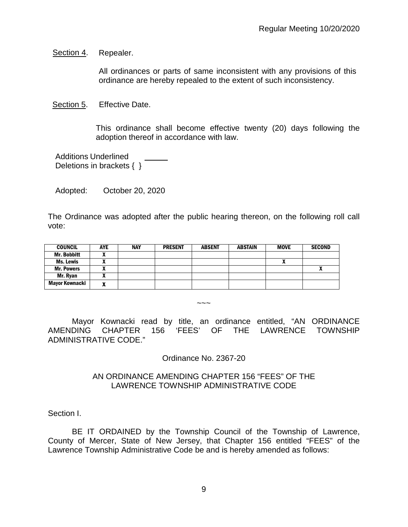Section 4. Repealer.

All ordinances or parts of same inconsistent with any provisions of this ordinance are hereby repealed to the extent of such inconsistency.

Section 5. Effective Date.

This ordinance shall become effective twenty (20) days following the adoption thereof in accordance with law.

Additions Underlined Deletions in brackets { }

Adopted: October 20, 2020

The Ordinance was adopted after the public hearing thereon, on the following roll call vote:

| <b>COUNCIL</b>     | <b>AYE</b> | <b>NAY</b> | <b>PRESENT</b> | <b>ABSENT</b> | <b>ABSTAIN</b> | <b>MOVE</b> | <b>SECOND</b> |
|--------------------|------------|------------|----------------|---------------|----------------|-------------|---------------|
| <b>Mr. Bobbitt</b> |            |            |                |               |                |             |               |
| Ms. Lewis          |            |            |                |               |                | Λ           |               |
| <b>Mr. Powers</b>  |            |            |                |               |                |             | $\mathbf{r}$  |
| Mr. Ryan           | ~          |            |                |               |                |             |               |
| Mayor Kownacki     | n          |            |                |               |                |             |               |

 $\sim\sim\sim$ 

Mayor Kownacki read by title, an ordinance entitled, "AN ORDINANCE AMENDING CHAPTER 156 'FEES' OF THE LAWRENCE TOWNSHIP ADMINISTRATIVE CODE."

Ordinance No. 2367-20

### AN ORDINANCE AMENDING CHAPTER 156 "FEES" OF THE LAWRENCE TOWNSHIP ADMINISTRATIVE CODE

Section I.

BE IT ORDAINED by the Township Council of the Township of Lawrence, County of Mercer, State of New Jersey, that Chapter 156 entitled "FEES" of the Lawrence Township Administrative Code be and is hereby amended as follows: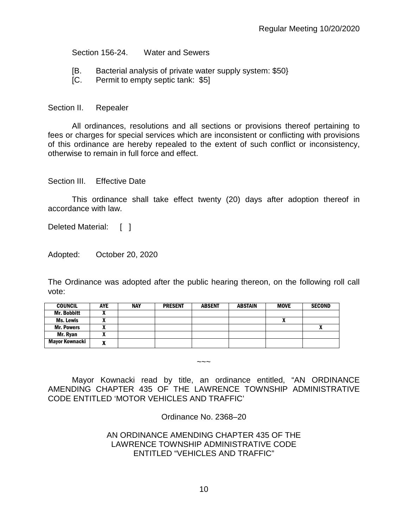Section 156-24. Water and Sewers

- [B. Bacterial analysis of private water supply system: \$50}
- [C. Permit to empty septic tank: \$5]

#### Section II. Repealer

All ordinances, resolutions and all sections or provisions thereof pertaining to fees or charges for special services which are inconsistent or conflicting with provisions of this ordinance are hereby repealed to the extent of such conflict or inconsistency, otherwise to remain in full force and effect.

#### Section III. Fffective Date

This ordinance shall take effect twenty (20) days after adoption thereof in accordance with law.

Deleted Material: [ ]

Adopted: October 20, 2020

The Ordinance was adopted after the public hearing thereon, on the following roll call vote:

| <b>COUNCIL</b>     | <b>AYE</b> | <b>NAY</b> | <b>PRESENT</b> | <b>ABSENT</b> | ABSTAIN | <b>MOVE</b> | <b>SECOND</b> |
|--------------------|------------|------------|----------------|---------------|---------|-------------|---------------|
| <b>Mr. Bobbitt</b> |            |            |                |               |         |             |               |
| Ms. Lewis          |            |            |                |               |         | A           |               |
| <b>Mr. Powers</b>  |            |            |                |               |         |             | v             |
| Mr. Ryan           |            |            |                |               |         |             |               |
| Mayor Kownacki     | ^          |            |                |               |         |             |               |

Mayor Kownacki read by title, an ordinance entitled, "AN ORDINANCE AMENDING CHAPTER 435 OF THE LAWRENCE TOWNSHIP ADMINISTRATIVE CODE ENTITLED 'MOTOR VEHICLES AND TRAFFIC'

 $\sim\sim\sim$ 

Ordinance No. 2368–20

### AN ORDINANCE AMENDING CHAPTER 435 OF THE LAWRENCE TOWNSHIP ADMINISTRATIVE CODE ENTITLED "VEHICLES AND TRAFFIC"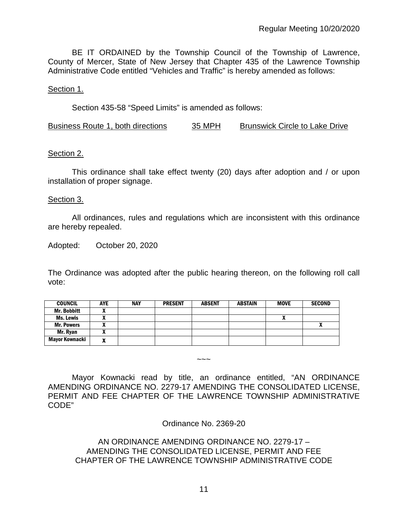BE IT ORDAINED by the Township Council of the Township of Lawrence, County of Mercer, State of New Jersey that Chapter 435 of the Lawrence Township Administrative Code entitled "Vehicles and Traffic" is hereby amended as follows:

### Section 1.

Section 435-58 "Speed Limits" is amended as follows:

Business Route 1, both directions 35 MPH Brunswick Circle to Lake Drive

### Section 2.

This ordinance shall take effect twenty (20) days after adoption and / or upon installation of proper signage.

#### Section 3.

All ordinances, rules and regulations which are inconsistent with this ordinance are hereby repealed.

Adopted: October 20, 2020

The Ordinance was adopted after the public hearing thereon, on the following roll call vote:

| <b>COUNCIL</b>     | <b>AYE</b> | <b>NAY</b> | <b>PRESENT</b> | <b>ABSENT</b> | <b>ABSTAIN</b> | <b>MOVE</b>  | <b>SECOND</b> |
|--------------------|------------|------------|----------------|---------------|----------------|--------------|---------------|
| <b>Mr. Bobbitt</b> |            |            |                |               |                |              |               |
| Ms. Lewis          |            |            |                |               |                | $\mathbf{v}$ |               |
| <b>Mr. Powers</b>  |            |            |                |               |                |              |               |
| Mr. Ryan           |            |            |                |               |                |              |               |
| Mayor Kownacki     | n          |            |                |               |                |              |               |

 $\sim\sim\sim$ 

Mayor Kownacki read by title, an ordinance entitled, "AN ORDINANCE AMENDING ORDINANCE NO. 2279-17 AMENDING THE CONSOLIDATED LICENSE, PERMIT AND FEE CHAPTER OF THE LAWRENCE TOWNSHIP ADMINISTRATIVE CODE"

Ordinance No. 2369-20

## AN ORDINANCE AMENDING ORDINANCE NO. 2279-17 – AMENDING THE CONSOLIDATED LICENSE, PERMIT AND FEE CHAPTER OF THE LAWRENCE TOWNSHIP ADMINISTRATIVE CODE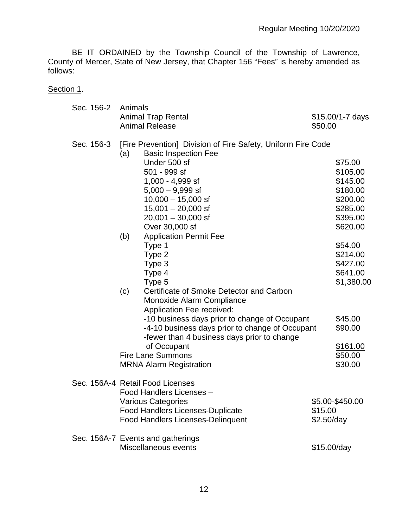BE IT ORDAINED by the Township Council of the Township of Lawrence, County of Mercer, State of New Jersey, that Chapter 156 "Fees" is hereby amended as follows:

Section 1.

| Sec. 156-2 | Animals |                                                                                             |                       |                  |
|------------|---------|---------------------------------------------------------------------------------------------|-----------------------|------------------|
|            |         | <b>Animal Trap Rental</b><br><b>Animal Release</b>                                          | \$50.00               | \$15.00/1-7 days |
| Sec. 156-3 |         | [Fire Prevention] Division of Fire Safety, Uniform Fire Code<br><b>Basic Inspection Fee</b> |                       |                  |
|            | (a)     | Under 500 sf                                                                                |                       | \$75.00          |
|            |         | 501 - 999 sf                                                                                |                       | \$105.00         |
|            |         | 1,000 - 4,999 sf                                                                            |                       | \$145.00         |
|            |         | $5,000 - 9,999$ sf                                                                          |                       | \$180.00         |
|            |         | $10,000 - 15,000$ sf                                                                        |                       | \$200.00         |
|            |         | $15,001 - 20,000$ sf                                                                        |                       | \$285.00         |
|            |         | $20,001 - 30,000$ sf                                                                        |                       | \$395.00         |
|            |         | Over 30,000 sf                                                                              |                       | \$620.00         |
|            | (b)     | <b>Application Permit Fee</b>                                                               |                       |                  |
|            |         | Type 1                                                                                      |                       | \$54.00          |
|            |         | Type 2                                                                                      |                       | \$214.00         |
|            |         | Type 3                                                                                      |                       | \$427.00         |
|            |         | Type 4                                                                                      |                       | \$641.00         |
|            |         | Type 5                                                                                      |                       | \$1,380.00       |
|            | (c)     | Certificate of Smoke Detector and Carbon                                                    |                       |                  |
|            |         | Monoxide Alarm Compliance                                                                   |                       |                  |
|            |         | <b>Application Fee received:</b><br>-10 business days prior to change of Occupant           |                       | \$45.00          |
|            |         | -4-10 business days prior to change of Occupant                                             |                       | \$90.00          |
|            |         | -fewer than 4 business days prior to change                                                 |                       |                  |
|            |         | of Occupant                                                                                 |                       | \$161.00         |
|            |         | <b>Fire Lane Summons</b>                                                                    |                       | \$50.00          |
|            |         | <b>MRNA Alarm Registration</b>                                                              |                       | \$30.00          |
|            |         |                                                                                             |                       |                  |
|            |         | Sec. 156A-4 Retail Food Licenses                                                            |                       |                  |
|            |         | Food Handlers Licenses -                                                                    |                       |                  |
|            |         | <b>Various Categories</b>                                                                   |                       | \$5.00-\$450.00  |
|            |         | <b>Food Handlers Licenses-Duplicate</b><br><b>Food Handlers Licenses-Delinquent</b>         | \$15.00<br>\$2.50/day |                  |
|            |         |                                                                                             |                       |                  |
|            |         | Sec. 156A-7 Events and gatherings                                                           |                       |                  |
|            |         | Miscellaneous events                                                                        | \$15.00/day           |                  |
|            |         |                                                                                             |                       |                  |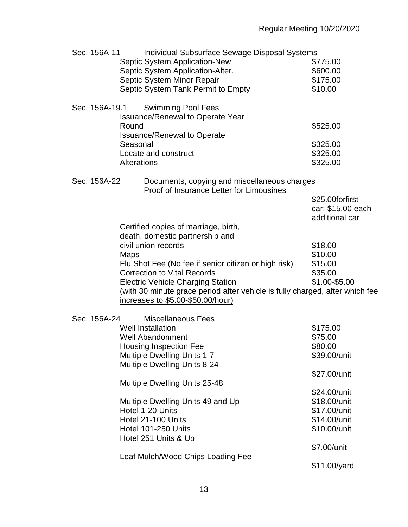| Sec. 156A-11   | Individual Subsurface Sewage Disposal Systems                                            |                   |
|----------------|------------------------------------------------------------------------------------------|-------------------|
|                | <b>Septic System Application-New</b>                                                     | \$775.00          |
|                |                                                                                          |                   |
|                | Septic System Application-Alter.                                                         | \$600.00          |
|                | Septic System Minor Repair                                                               | \$175.00          |
|                | Septic System Tank Permit to Empty                                                       | \$10.00           |
| Sec. 156A-19.1 | <b>Swimming Pool Fees</b><br><b>Issuance/Renewal to Operate Year</b>                     |                   |
|                | Round<br><b>Issuance/Renewal to Operate</b>                                              | \$525.00          |
|                | Seasonal                                                                                 | \$325.00          |
|                | Locate and construct                                                                     | \$325.00          |
|                | Alterations                                                                              |                   |
|                |                                                                                          | \$325.00          |
| Sec. 156A-22   | Documents, copying and miscellaneous charges<br>Proof of Insurance Letter for Limousines |                   |
|                |                                                                                          | \$25.00forfirst   |
|                |                                                                                          | car; \$15.00 each |
|                |                                                                                          |                   |
|                |                                                                                          | additional car    |
|                | Certified copies of marriage, birth,                                                     |                   |
|                | death, domestic partnership and                                                          |                   |
|                | civil union records                                                                      | \$18.00           |
|                | Maps                                                                                     | \$10.00           |
|                | Flu Shot Fee (No fee if senior citizen or high risk)                                     | \$15.00           |
|                | <b>Correction to Vital Records</b>                                                       | \$35.00           |
|                |                                                                                          |                   |
|                | <b>Electric Vehicle Charging Station</b>                                                 | \$1.00-\$5.00     |
|                | (with 30 minute grace period after vehicle is fully charged, after which fee             |                   |
|                | increases to \$5.00-\$50.00/hour)                                                        |                   |
|                |                                                                                          |                   |
| Sec. 156A-24   | <b>Miscellaneous Fees</b>                                                                |                   |
|                | <b>Well Installation</b>                                                                 | \$175.00          |
|                | <b>Well Abandonment</b>                                                                  | \$75.00           |
|                | Housing Inspection Fee                                                                   | \$80.00           |
|                | <b>Multiple Dwelling Units 1-7</b>                                                       | \$39.00/unit      |
|                | <b>Multiple Dwelling Units 8-24</b>                                                      |                   |
|                |                                                                                          |                   |
|                |                                                                                          | \$27.00/unit      |
|                | <b>Multiple Dwelling Units 25-48</b>                                                     |                   |
|                |                                                                                          | \$24.00/unit      |
|                | Multiple Dwelling Units 49 and Up                                                        | \$18.00/unit      |
|                | Hotel 1-20 Units                                                                         | \$17.00/unit      |
|                | Hotel 21-100 Units                                                                       | \$14.00/unit      |
|                | Hotel 101-250 Units                                                                      | \$10.00/unit      |
|                |                                                                                          |                   |
|                | Hotel 251 Units & Up                                                                     |                   |
|                |                                                                                          | \$7.00/unit       |
|                | Leaf Mulch/Wood Chips Loading Fee                                                        |                   |
|                |                                                                                          | \$11.00/yard      |
|                |                                                                                          |                   |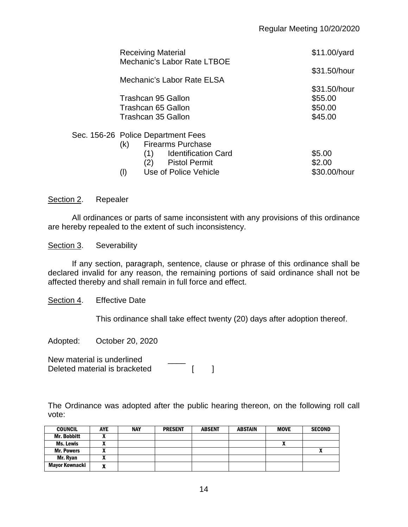| <b>Receiving Material</b><br>Mechanic's Labor Rate LTBOE | $$11.00/$ yard |
|----------------------------------------------------------|----------------|
| Mechanic's Labor Rate ELSA                               | \$31.50/hour   |
|                                                          | \$31.50/hour   |
| Trashcan 95 Gallon                                       | \$55.00        |
| Trashcan 65 Gallon                                       | \$50.00        |
| Trashcan 35 Gallon                                       | \$45.00        |
| Sec. 156-26 Police Department Fees                       |                |
| <b>Firearms Purchase</b><br>(k)                          |                |
| <b>Identification Card</b><br>(1)                        | \$5.00         |
| (2)<br><b>Pistol Permit</b>                              | \$2.00         |
| Use of Police Vehicle                                    | \$30.00/hour   |

#### Section 2. Repealer

All ordinances or parts of same inconsistent with any provisions of this ordinance are hereby repealed to the extent of such inconsistency.

Section 3. Severability

If any section, paragraph, sentence, clause or phrase of this ordinance shall be declared invalid for any reason, the remaining portions of said ordinance shall not be affected thereby and shall remain in full force and effect.

Section 4. Effective Date

This ordinance shall take effect twenty (20) days after adoption thereof.

Adopted: October 20, 2020

New material is underlined Deleted material is bracketed [ ]

The Ordinance was adopted after the public hearing thereon, on the following roll call vote:

| <b>COUNCIL</b>     | <b>AYE</b> | <b>NAY</b> | <b>PRESENT</b> | <b>ABSENT</b> | <b>ABSTAIN</b> | <b>MOVE</b>  | <b>SECOND</b> |
|--------------------|------------|------------|----------------|---------------|----------------|--------------|---------------|
| <b>Mr. Bobbitt</b> |            |            |                |               |                |              |               |
| Ms. Lewis          |            |            |                |               |                | $\mathbf{r}$ |               |
| <b>Mr. Powers</b>  |            |            |                |               |                |              |               |
| Mr. Ryan           |            |            |                |               |                |              |               |
| Mayor Kownacki     | n          |            |                |               |                |              |               |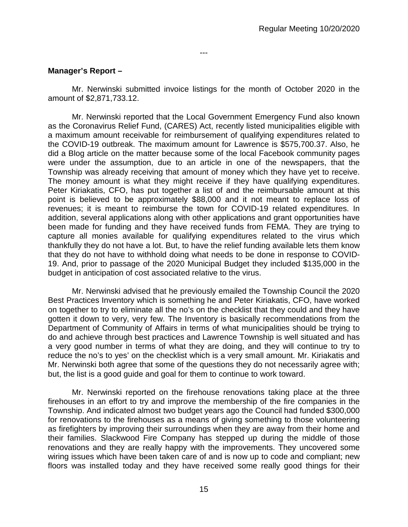---

## **Manager's Report –**

Mr. Nerwinski submitted invoice listings for the month of October 2020 in the amount of \$2,871,733.12.

Mr. Nerwinski reported that the Local Government Emergency Fund also known as the Coronavirus Relief Fund, (CARES) Act, recently listed municipalities eligible with a maximum amount receivable for reimbursement of qualifying expenditures related to the COVID-19 outbreak. The maximum amount for Lawrence is \$575,700.37. Also, he did a Blog article on the matter because some of the local Facebook community pages were under the assumption, due to an article in one of the newspapers, that the Township was already receiving that amount of money which they have yet to receive. The money amount is what they might receive if they have qualifying expenditures. Peter Kiriakatis, CFO, has put together a list of and the reimbursable amount at this point is believed to be approximately \$88,000 and it not meant to replace loss of revenues; it is meant to reimburse the town for COVID-19 related expenditures. In addition, several applications along with other applications and grant opportunities have been made for funding and they have received funds from FEMA. They are trying to capture all monies available for qualifying expenditures related to the virus which thankfully they do not have a lot. But, to have the relief funding available lets them know that they do not have to withhold doing what needs to be done in response to COVID-19. And, prior to passage of the 2020 Municipal Budget they included \$135,000 in the budget in anticipation of cost associated relative to the virus.

Mr. Nerwinski advised that he previously emailed the Township Council the 2020 Best Practices Inventory which is something he and Peter Kiriakatis, CFO, have worked on together to try to eliminate all the no's on the checklist that they could and they have gotten it down to very, very few. The Inventory is basically recommendations from the Department of Community of Affairs in terms of what municipalities should be trying to do and achieve through best practices and Lawrence Township is well situated and has a very good number in terms of what they are doing, and they will continue to try to reduce the no's to yes' on the checklist which is a very small amount. Mr. Kiriakatis and Mr. Nerwinski both agree that some of the questions they do not necessarily agree with; but, the list is a good guide and goal for them to continue to work toward.

Mr. Nerwinski reported on the firehouse renovations taking place at the three firehouses in an effort to try and improve the membership of the fire companies in the Township. And indicated almost two budget years ago the Council had funded \$300,000 for renovations to the firehouses as a means of giving something to those volunteering as firefighters by improving their surroundings when they are away from their home and their families. Slackwood Fire Company has stepped up during the middle of those renovations and they are really happy with the improvements. They uncovered some wiring issues which have been taken care of and is now up to code and compliant; new floors was installed today and they have received some really good things for their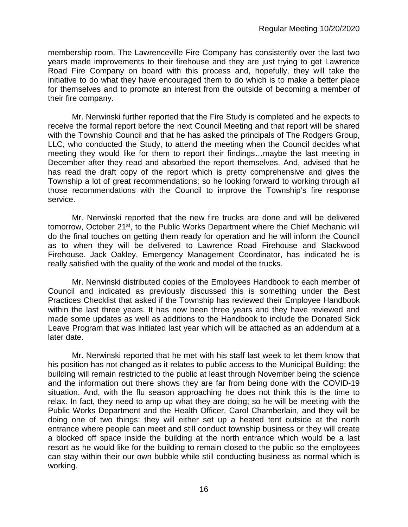membership room. The Lawrenceville Fire Company has consistently over the last two years made improvements to their firehouse and they are just trying to get Lawrence Road Fire Company on board with this process and, hopefully, they will take the initiative to do what they have encouraged them to do which is to make a better place for themselves and to promote an interest from the outside of becoming a member of their fire company.

Mr. Nerwinski further reported that the Fire Study is completed and he expects to receive the formal report before the next Council Meeting and that report will be shared with the Township Council and that he has asked the principals of The Rodgers Group, LLC, who conducted the Study, to attend the meeting when the Council decides what meeting they would like for them to report their findings…maybe the last meeting in December after they read and absorbed the report themselves. And, advised that he has read the draft copy of the report which is pretty comprehensive and gives the Township a lot of great recommendations; so he looking forward to working through all those recommendations with the Council to improve the Township's fire response service.

Mr. Nerwinski reported that the new fire trucks are done and will be delivered tomorrow, October 21<sup>st</sup>, to the Public Works Department where the Chief Mechanic will do the final touches on getting them ready for operation and he will inform the Council as to when they will be delivered to Lawrence Road Firehouse and Slackwood Firehouse. Jack Oakley, Emergency Management Coordinator, has indicated he is really satisfied with the quality of the work and model of the trucks.

Mr. Nerwinski distributed copies of the Employees Handbook to each member of Council and indicated as previously discussed this is something under the Best Practices Checklist that asked if the Township has reviewed their Employee Handbook within the last three years. It has now been three years and they have reviewed and made some updates as well as additions to the Handbook to include the Donated Sick Leave Program that was initiated last year which will be attached as an addendum at a later date.

Mr. Nerwinski reported that he met with his staff last week to let them know that his position has not changed as it relates to public access to the Municipal Building; the building will remain restricted to the public at least through November being the science and the information out there shows they are far from being done with the COVID-19 situation. And, with the flu season approaching he does not think this is the time to relax. In fact, they need to amp up what they are doing; so he will be meeting with the Public Works Department and the Health Officer, Carol Chamberlain, and they will be doing one of two things: they will either set up a heated tent outside at the north entrance where people can meet and still conduct township business or they will create a blocked off space inside the building at the north entrance which would be a last resort as he would like for the building to remain closed to the public so the employees can stay within their our own bubble while still conducting business as normal which is working.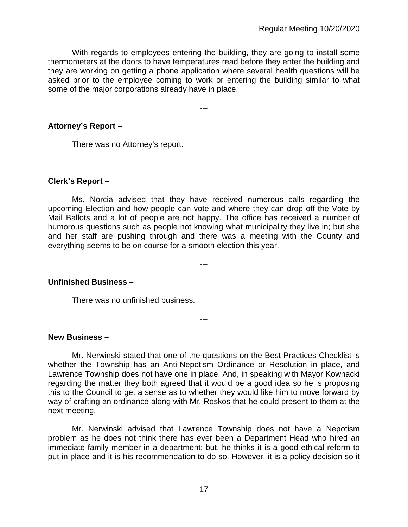With regards to employees entering the building, they are going to install some thermometers at the doors to have temperatures read before they enter the building and they are working on getting a phone application where several health questions will be asked prior to the employee coming to work or entering the building similar to what some of the major corporations already have in place.

---

---

## **Attorney's Report –**

There was no Attorney's report.

### **Clerk's Report –**

Ms. Norcia advised that they have received numerous calls regarding the upcoming Election and how people can vote and where they can drop off the Vote by Mail Ballots and a lot of people are not happy. The office has received a number of humorous questions such as people not knowing what municipality they live in; but she and her staff are pushing through and there was a meeting with the County and everything seems to be on course for a smooth election this year.

---

---

## **Unfinished Business –**

There was no unfinished business.

#### **New Business –**

Mr. Nerwinski stated that one of the questions on the Best Practices Checklist is whether the Township has an Anti-Nepotism Ordinance or Resolution in place, and Lawrence Township does not have one in place. And, in speaking with Mayor Kownacki regarding the matter they both agreed that it would be a good idea so he is proposing this to the Council to get a sense as to whether they would like him to move forward by way of crafting an ordinance along with Mr. Roskos that he could present to them at the next meeting.

Mr. Nerwinski advised that Lawrence Township does not have a Nepotism problem as he does not think there has ever been a Department Head who hired an immediate family member in a department; but, he thinks it is a good ethical reform to put in place and it is his recommendation to do so. However, it is a policy decision so it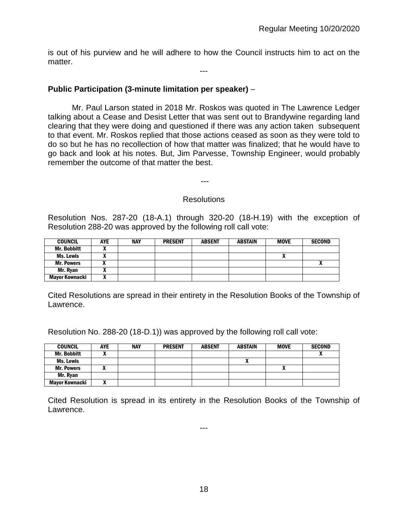is out of his purview and he will adhere to how the Council instructs him to act on the matter.

---

## **Public Participation (3-minute limitation per speaker)** –

Mr. Paul Larson stated in 2018 Mr. Roskos was quoted in The Lawrence Ledger talking about a Cease and Desist Letter that was sent out to Brandywine regarding land clearing that they were doing and questioned if there was any action taken subsequent to that event. Mr. Roskos replied that those actions ceased as soon as they were told to do so but he has no recollection of how that matter was finalized; that he would have to go back and look at his notes. But, Jim Parvesse, Township Engineer, would probably remember the outcome of that matter the best.

### **Resolutions**

---

Resolution Nos. 287-20 (18-A.1) through 320-20 (18-H.19) with the exception of Resolution 288-20 was approved by the following roll call vote:

| <b>COUNCIL</b>     | <b>AYE</b> | <b>NAY</b> | <b>PRESENT</b> | <b>ABSENT</b> | <b>ABSTAIN</b> | <b>MOVE</b> | <b>SECOND</b> |
|--------------------|------------|------------|----------------|---------------|----------------|-------------|---------------|
| <b>Mr. Bobbitt</b> |            |            |                |               |                |             |               |
| Ms. Lewis          |            |            |                |               |                | ~           |               |
| <b>Mr. Powers</b>  |            |            |                |               |                |             | $\mathbf{r}$  |
| Mr. Ryan           | n          |            |                |               |                |             |               |
| Mayor Kownacki     | ,,,        |            |                |               |                |             |               |

Cited Resolutions are spread in their entirety in the Resolution Books of the Township of Lawrence.

Resolution No. 288-20 (18-D.1)) was approved by the following roll call vote:

| <b>COUNCIL</b>     | <b>AYE</b> | <b>NAY</b> | <b>PRESENT</b> | <b>ABSENT</b> | ABSTAIN | <b>MOVE</b> | <b>SECOND</b> |
|--------------------|------------|------------|----------------|---------------|---------|-------------|---------------|
| <b>Mr. Bobbitt</b> |            |            |                |               |         |             |               |
| Ms. Lewis          |            |            |                |               |         |             |               |
| <b>Mr. Powers</b>  |            |            |                |               |         | Λ           |               |
| Mr. Ryan           |            |            |                |               |         |             |               |
| Mayor Kownacki     |            |            |                |               |         |             |               |

Cited Resolution is spread in its entirety in the Resolution Books of the Township of Lawrence.

---